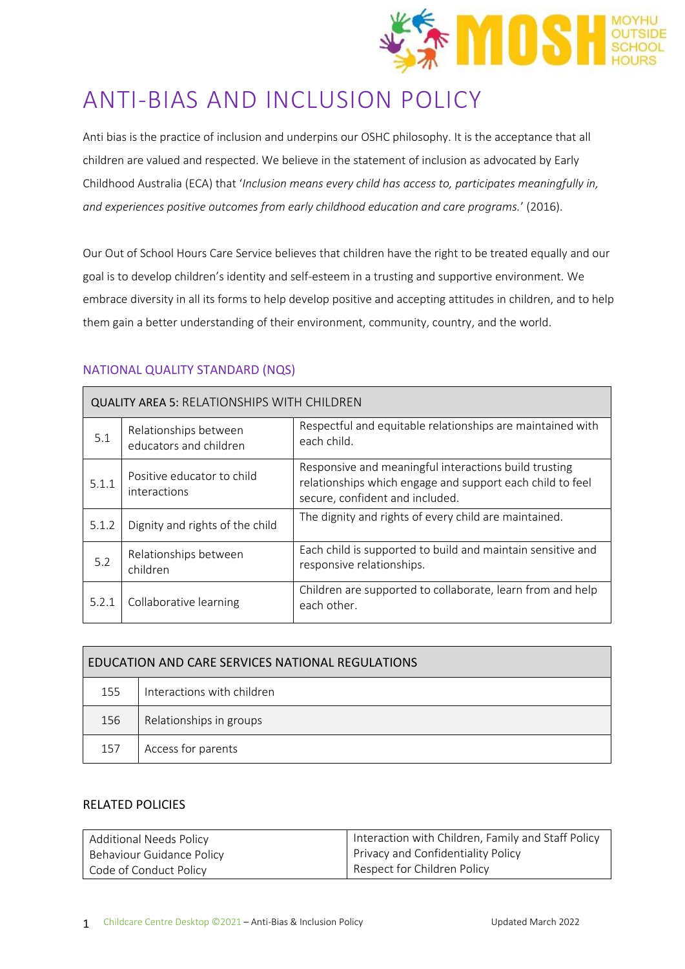

# ANTI-BIAS AND INCLUSION POLICY

Anti bias is the practice of inclusion and underpins our OSHC philosophy. It is the acceptance that all children are valued and respected. We believe in the statement of inclusion as advocated by Early Childhood Australia (ECA) that '*Inclusion means every child has access to, participates meaningfully in, and experiences positive outcomes from early childhood education and care programs.*' (2016).

Our Out of School Hours Care Service believes that children have the right to be treated equally and our goal is to develop children's identity and self-esteem in a trusting and supportive environment. We embrace diversity in all its forms to help develop positive and accepting attitudes in children, and to help them gain a better understanding of their environment, community, country, and the world.

# NATIONAL QUALITY STANDARD (NQS)

| <b>QUALITY AREA 5: RELATIONSHIPS WITH CHILDREN</b> |                                                 |                                                                                                                                                       |  |  |  |
|----------------------------------------------------|-------------------------------------------------|-------------------------------------------------------------------------------------------------------------------------------------------------------|--|--|--|
| 5.1                                                | Relationships between<br>educators and children | Respectful and equitable relationships are maintained with<br>each child.                                                                             |  |  |  |
| 5.1.1                                              | Positive educator to child<br>interactions      | Responsive and meaningful interactions build trusting<br>relationships which engage and support each child to feel<br>secure, confident and included. |  |  |  |
| 5.1.2                                              | Dignity and rights of the child                 | The dignity and rights of every child are maintained.                                                                                                 |  |  |  |
| 5.2                                                | Relationships between<br>children               | Each child is supported to build and maintain sensitive and<br>responsive relationships.                                                              |  |  |  |
| 5.2.1                                              | Collaborative learning                          | Children are supported to collaborate, learn from and help<br>each other.                                                                             |  |  |  |

| EDUCATION AND CARE SERVICES NATIONAL REGULATIONS |                            |  |  |  |
|--------------------------------------------------|----------------------------|--|--|--|
| 155                                              | Interactions with children |  |  |  |
| 156                                              | Relationships in groups    |  |  |  |
| 157                                              | Access for parents         |  |  |  |

# RELATED POLICIES

| <b>Additional Needs Policy</b> | Interaction with Children, Family and Staff Policy |
|--------------------------------|----------------------------------------------------|
| Behaviour Guidance Policy      | Privacy and Confidentiality Policy                 |
| Code of Conduct Policy         | Respect for Children Policy                        |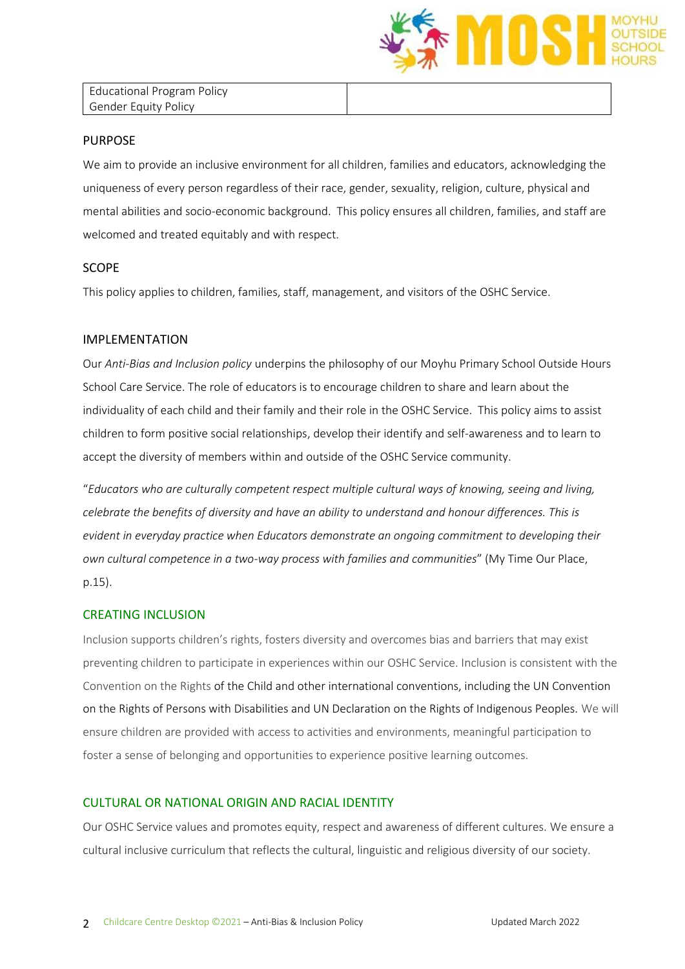

Educational Program Policy Gender Equity Policy

#### PURPOSE

We aim to provide an inclusive environment for all children, families and educators, acknowledging the uniqueness of every person regardless of their race, gender, sexuality, religion, culture, physical and mental abilities and socio-economic background. This policy ensures all children, families, and staff are welcomed and treated equitably and with respect.

## SCOPE

This policy applies to children, families, staff, management, and visitors of the OSHC Service.

## IMPLEMENTATION

Our *Anti-Bias and Inclusion policy* underpins the philosophy of our Moyhu Primary School Outside Hours School Care Service. The role of educators is to encourage children to share and learn about the individuality of each child and their family and their role in the OSHC Service. This policy aims to assist children to form positive social relationships, develop their identify and self-awareness and to learn to accept the diversity of members within and outside of the OSHC Service community.

"*Educators who are culturally competent respect multiple cultural ways of knowing, seeing and living, celebrate the benefits of diversity and have an ability to understand and honour differences. This is evident in everyday practice when Educators demonstrate an ongoing commitment to developing their own cultural competence in a two-way process with families and communities*" (My Time Our Place, p.15).

#### CREATING INCLUSION

Inclusion supports children's rights, fosters diversity and overcomes bias and barriers that may exist preventing children to participate in experiences within our OSHC Service. Inclusion is consistent with the Convention on the Rights of the Child and other international conventions, including the UN Convention on the Rights of Persons with Disabilities and UN Declaration on the Rights of Indigenous Peoples. We will ensure children are provided with access to activities and environments, meaningful participation to foster a sense of belonging and opportunities to experience positive learning outcomes.

## CULTURAL OR NATIONAL ORIGIN AND RACIAL IDENTITY

Our OSHC Service values and promotes equity, respect and awareness of different cultures. We ensure a cultural inclusive curriculum that reflects the cultural, linguistic and religious diversity of our society.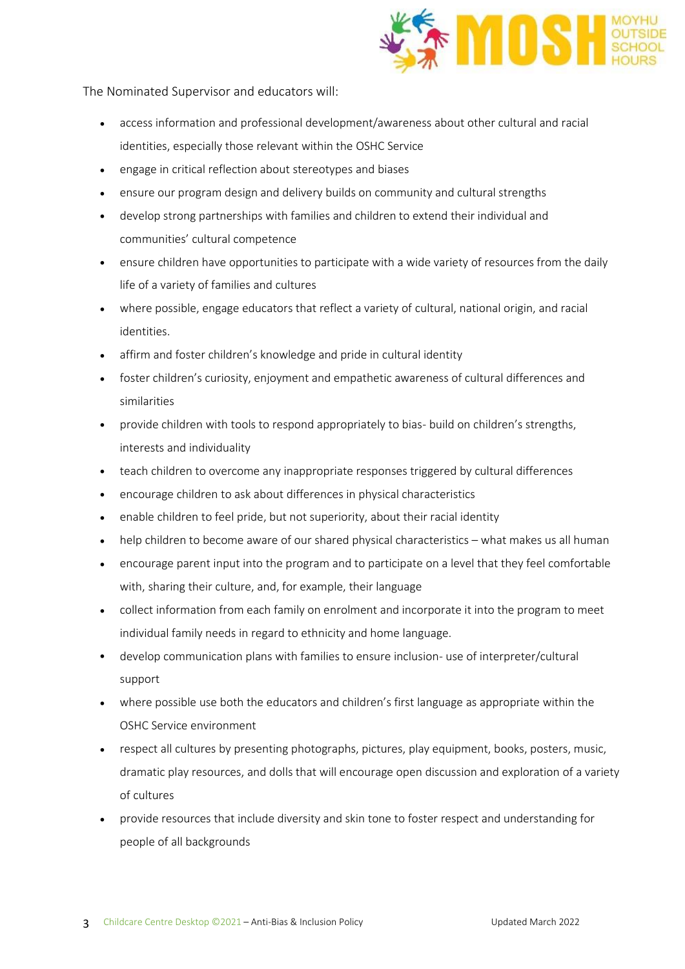

The Nominated Supervisor and educators will:

- access information and professional development/awareness about other cultural and racial identities, especially those relevant within the OSHC Service
- engage in critical reflection about stereotypes and biases
- ensure our program design and delivery builds on community and cultural strengths
- develop strong partnerships with families and children to extend their individual and communities' cultural competence
- ensure children have opportunities to participate with a wide variety of resources from the daily life of a variety of families and cultures
- where possible, engage educators that reflect a variety of cultural, national origin, and racial identities.
- affirm and foster children's knowledge and pride in cultural identity
- foster children's curiosity, enjoyment and empathetic awareness of cultural differences and similarities
- provide children with tools to respond appropriately to bias- build on children's strengths, interests and individuality
- teach children to overcome any inappropriate responses triggered by cultural differences
- encourage children to ask about differences in physical characteristics
- enable children to feel pride, but not superiority, about their racial identity
- help children to become aware of our shared physical characteristics what makes us all human
- encourage parent input into the program and to participate on a level that they feel comfortable with, sharing their culture, and, for example, their language
- collect information from each family on enrolment and incorporate it into the program to meet individual family needs in regard to ethnicity and home language.
- develop communication plans with families to ensure inclusion- use of interpreter/cultural support
- where possible use both the educators and children's first language as appropriate within the OSHC Service environment
- respect all cultures by presenting photographs, pictures, play equipment, books, posters, music, dramatic play resources, and dolls that will encourage open discussion and exploration of a variety of cultures
- provide resources that include diversity and skin tone to foster respect and understanding for people of all backgrounds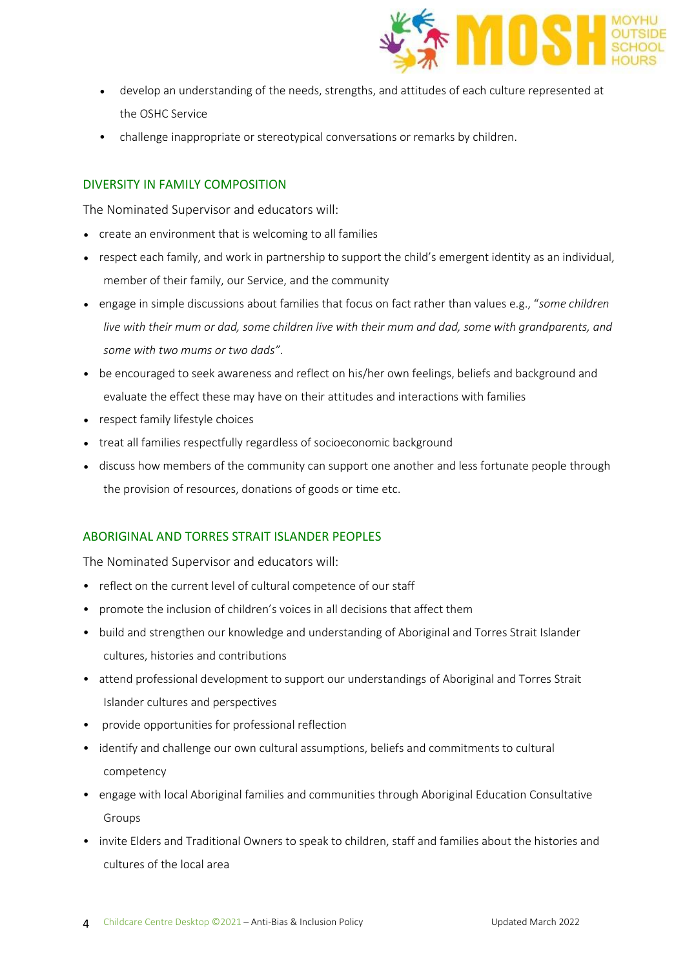

- develop an understanding of the needs, strengths, and attitudes of each culture represented at the OSHC Service
- challenge inappropriate or stereotypical conversations or remarks by children.

## DIVERSITY IN FAMILY COMPOSITION

The Nominated Supervisor and educators will:

- create an environment that is welcoming to all families
- respect each family, and work in partnership to support the child's emergent identity as an individual, member of their family, our Service, and the community
- engage in simple discussions about families that focus on fact rather than values e.g., "*some children live with their mum or dad, some children live with their mum and dad, some with grandparents, and some with two mums or two dads"*.
- be encouraged to seek awareness and reflect on his/her own feelings, beliefs and background and evaluate the effect these may have on their attitudes and interactions with families
- respect family lifestyle choices
- treat all families respectfully regardless of socioeconomic background
- discuss how members of the community can support one another and less fortunate people through the provision of resources, donations of goods or time etc.

# ABORIGINAL AND TORRES STRAIT ISLANDER PEOPLES

The Nominated Supervisor and educators will:

- reflect on the current level of cultural competence of our staff
- promote the inclusion of children's voices in all decisions that affect them
- build and strengthen our knowledge and understanding of Aboriginal and Torres Strait Islander cultures, histories and contributions
- attend professional development to support our understandings of Aboriginal and Torres Strait Islander cultures and perspectives
- provide opportunities for professional reflection
- identify and challenge our own cultural assumptions, beliefs and commitments to cultural competency
- engage with local Aboriginal families and communities through Aboriginal Education Consultative Groups
- invite Elders and Traditional Owners to speak to children, staff and families about the histories and cultures of the local area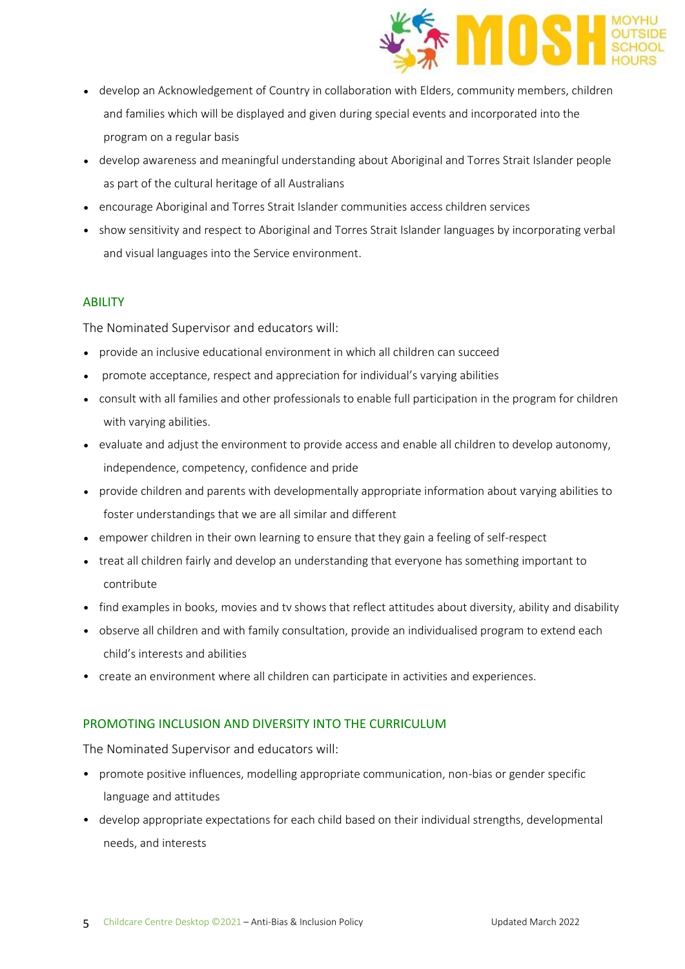

- develop an Acknowledgement of Country in collaboration with Elders, community members, children and families which will be displayed and given during special events and incorporated into the program on a regular basis
- develop awareness and meaningful understanding about Aboriginal and Torres Strait Islander people as part of the cultural heritage of all Australians
- encourage Aboriginal and Torres Strait Islander communities access children services
- show sensitivity and respect to Aboriginal and Torres Strait Islander languages by incorporating verbal and visual languages into the Service environment.

## **ABILITY**

The Nominated Supervisor and educators will:

- provide an inclusive educational environment in which all children can succeed
- promote acceptance, respect and appreciation for individual's varying abilities
- consult with all families and other professionals to enable full participation in the program for children with varying abilities.
- evaluate and adjust the environment to provide access and enable all children to develop autonomy, independence, competency, confidence and pride
- provide children and parents with developmentally appropriate information about varying abilities to foster understandings that we are all similar and different
- empower children in their own learning to ensure that they gain a feeling of self-respect
- treat all children fairly and develop an understanding that everyone has something important to contribute
- find examples in books, movies and tv shows that reflect attitudes about diversity, ability and disability
- observe all children and with family consultation, provide an individualised program to extend each child's interests and abilities
- create an environment where all children can participate in activities and experiences.

## PROMOTING INCLUSION AND DIVERSITY INTO THE CURRICULUM

The Nominated Supervisor and educators will:

- promote positive influences, modelling appropriate communication, non-bias or gender specific language and attitudes
- develop appropriate expectations for each child based on their individual strengths, developmental needs, and interests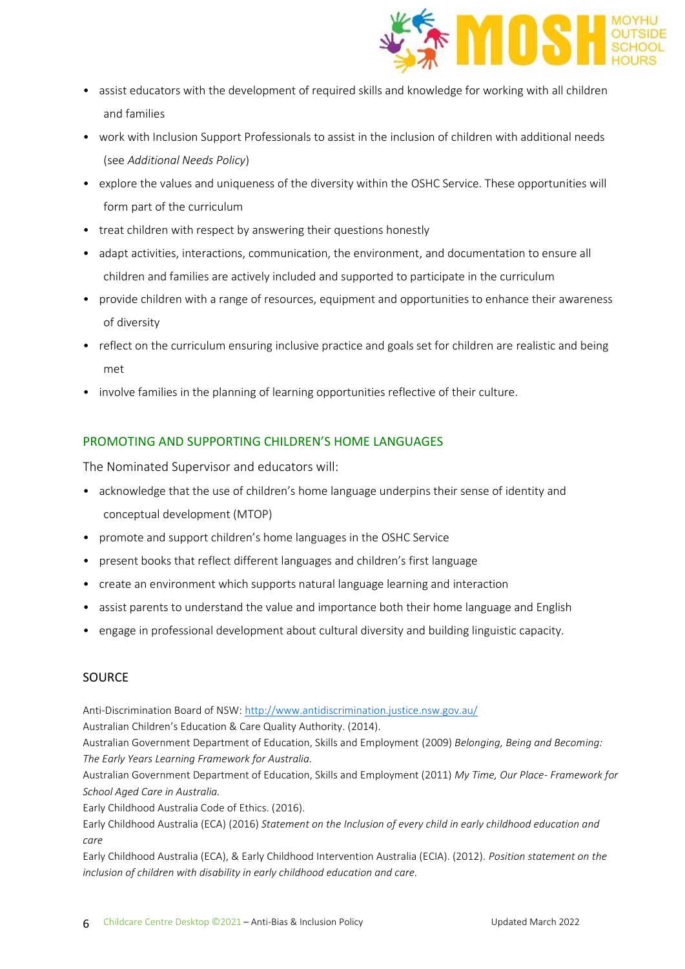

- assist educators with the development of required skills and knowledge for working with all children and families
- work with Inclusion Support Professionals to assist in the inclusion of children with additional needs (see *Additional Needs Policy*)
- explore the values and uniqueness of the diversity within the OSHC Service. These opportunities will form part of the curriculum
- treat children with respect by answering their questions honestly
- adapt activities, interactions, communication, the environment, and documentation to ensure all children and families are actively included and supported to participate in the curriculum
- provide children with a range of resources, equipment and opportunities to enhance their awareness of diversity
- reflect on the curriculum ensuring inclusive practice and goals set for children are realistic and being met
- involve families in the planning of learning opportunities reflective of their culture.

# PROMOTING AND SUPPORTING CHILDREN'S HOME LANGUAGES

The Nominated Supervisor and educators will:

- acknowledge that the use of children's home language underpins their sense of identity and conceptual development (MTOP)
- promote and support children's home languages in the OSHC Service
- present books that reflect different languages and children's first language
- create an environment which supports natural language learning and interaction
- assist parents to understand the value and importance both their home language and English
- engage in professional development about cultural diversity and building linguistic capacity.

# SOURCE

Anti-Discrimination Board of NSW:<http://www.antidiscrimination.justice.nsw.gov.au/>

Australian Children's Education & Care Quality Authority. (2014).

Australian Government Department of Education, Skills and Employment (2009) *Belonging, Being and Becoming: The Early Years Learning Framework for Australia.* 

Australian Government Department of Education, Skills and Employment (2011) *My Time, Our Place- Framework for School Aged Care in Australia.*

Early Childhood Australia Code of Ethics. (2016).

Early Childhood Australia (ECA) (2016) *Statement on the Inclusion of every child in early childhood education and care*

Early Childhood Australia (ECA), & Early Childhood Intervention Australia (ECIA). (2012). *Position statement on the inclusion of children with disability in early childhood education and care.*